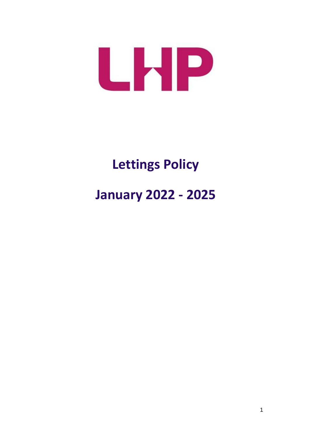

# **Lettings Policy January 2022 - 2025**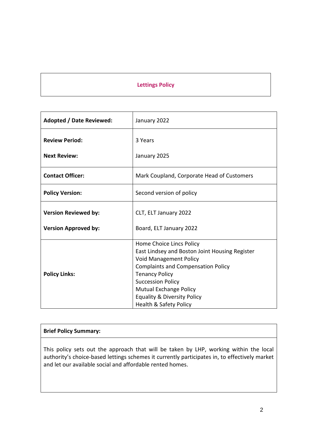# **Lettings Policy**

| Adopted / Date Reviewed:    | January 2022                                                               |
|-----------------------------|----------------------------------------------------------------------------|
| <b>Review Period:</b>       | 3 Years                                                                    |
| <b>Next Review:</b>         | January 2025                                                               |
| <b>Contact Officer:</b>     | Mark Coupland, Corporate Head of Customers                                 |
| <b>Policy Version:</b>      | Second version of policy                                                   |
| <b>Version Reviewed by:</b> | CLT, ELT January 2022                                                      |
| <b>Version Approved by:</b> | Board, ELT January 2022                                                    |
|                             | Home Choice Lincs Policy<br>East Lindsey and Boston Joint Housing Register |
|                             | <b>Void Management Policy</b>                                              |
|                             | <b>Complaints and Compensation Policy</b>                                  |
| <b>Policy Links:</b>        | <b>Tenancy Policy</b>                                                      |
|                             | <b>Succession Policy</b>                                                   |
|                             | <b>Mutual Exchange Policy</b>                                              |
|                             | <b>Equality &amp; Diversity Policy</b>                                     |
|                             | Health & Safety Policy                                                     |

## **Brief Policy Summary:**

This policy sets out the approach that will be taken by LHP, working within the local authority's choice-based lettings schemes it currently participates in, to effectively market and let our available social and affordable rented homes.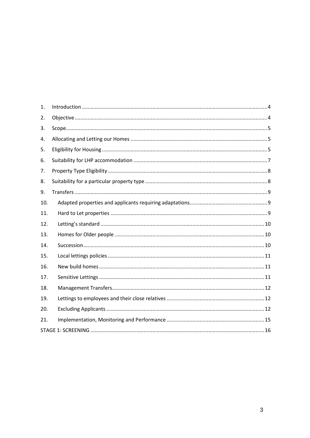| 1.  |  |
|-----|--|
| 2.  |  |
| 3.  |  |
| 4.  |  |
| 5.  |  |
| 6.  |  |
| 7.  |  |
| 8.  |  |
| 9.  |  |
| 10. |  |
| 11. |  |
| 12. |  |
| 13. |  |
| 14. |  |
| 15. |  |
| 16. |  |
| 17. |  |
| 18. |  |
| 19. |  |
| 20. |  |
| 21. |  |
|     |  |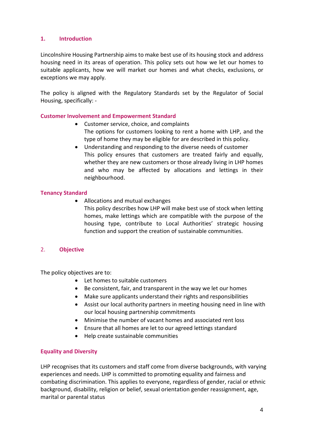#### <span id="page-3-0"></span>**1. Introduction**

Lincolnshire Housing Partnership aims to make best use of its housing stock and address housing need in its areas of operation. This policy sets out how we let our homes to suitable applicants, how we will market our homes and what checks, exclusions, or exceptions we may apply.

The policy is aligned with the Regulatory Standards set by the Regulator of Social Housing, specifically: -

#### **Customer Involvement and Empowerment Standard**

- Customer service, choice, and complaints The options for customers looking to rent a home with LHP, and the type of home they may be eligible for are described in this policy.
- Understanding and responding to the diverse needs of customer This policy ensures that customers are treated fairly and equally, whether they are new customers or those already living in LHP homes and who may be affected by allocations and lettings in their neighbourhood.

#### **Tenancy Standard**

• Allocations and mutual exchanges This policy describes how LHP will make best use of stock when letting homes, make lettings which are compatible with the purpose of the housing type, contribute to Local Authorities' strategic housing function and support the creation of sustainable communities.

## <span id="page-3-1"></span>2. **Objective**

The policy objectives are to:

- Let homes to suitable customers
- Be consistent, fair, and transparent in the way we let our homes
- Make sure applicants understand their rights and responsibilities
- Assist our local authority partners in meeting housing need in line with our local housing partnership commitments
- Minimise the number of vacant homes and associated rent loss
- Ensure that all homes are let to our agreed lettings standard
- Help create sustainable communities

#### **Equality and Diversity**

LHP recognises that its customers and staff come from diverse backgrounds, with varying experiences and needs. LHP is committed to promoting equality and fairness and combating discrimination. This applies to everyone, regardless of gender, racial or ethnic background, disability, religion or belief, sexual orientation gender reassignment, age, marital or parental status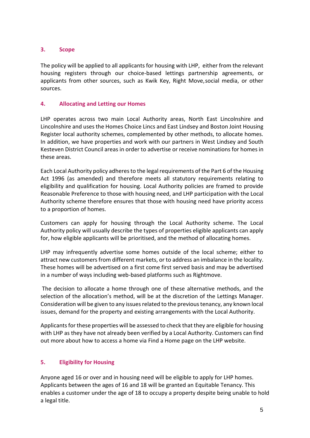## <span id="page-4-0"></span>**3. Scope**

The policy will be applied to all applicants for housing with LHP, either from the relevant housing registers through our choice-based lettings partnership agreements, or applicants from other sources, such as Kwik Key, Right Move,social media, or other sources.

#### <span id="page-4-1"></span>**4. Allocating and Letting our Homes**

LHP operates across two main Local Authority areas, North East Lincolnshire and Lincolnshire and uses the Homes Choice Lincs and East Lindsey and Boston Joint Housing Register local authority schemes, complemented by other methods, to allocate homes. In addition, we have properties and work with our partners in West Lindsey and South Kesteven District Council areas in order to advertise or receive nominations for homes in these areas.

Each Local Authority policy adheres to the legal requirements of the Part 6 of the Housing Act 1996 (as amended) and therefore meets all statutory requirements relating to eligibility and qualification for housing. Local Authority policies are framed to provide Reasonable Preference to those with housing need, and LHP participation with the Local Authority scheme therefore ensures that those with housing need have priority access to a proportion of homes.

Customers can apply for housing through the Local Authority scheme. The Local Authority policy will usually describe the types of properties eligible applicants can apply for, how eligible applicants will be prioritised, and the method of allocating homes.

LHP may infrequently advertise some homes outside of the local scheme; either to attract new customers from different markets, or to address an imbalance in the locality. These homes will be advertised on a first come first served basis and may be advertised in a number of ways including web-based platforms such as Rightmove.

The decision to allocate a home through one of these alternative methods, and the selection of the allocation's method, will be at the discretion of the Lettings Manager. Consideration will be given to any issues related to the previous tenancy, any known local issues, demand for the property and existing arrangements with the Local Authority.

Applicants for these properties will be assessed to check that they are eligible for housing with LHP as they have not already been verified by a Local Authority. Customers can find out more about how to access a home via Find a Home page on the LHP website.

## <span id="page-4-2"></span>**5. Eligibility for Housing**

Anyone aged 16 or over and in housing need will be eligible to apply for LHP homes. Applicants between the ages of 16 and 18 will be granted an Equitable Tenancy. This enables a customer under the age of 18 to occupy a property despite being unable to hold a legal title.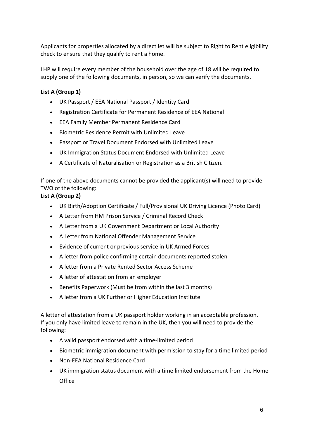Applicants for properties allocated by a direct let will be subject to Right to Rent eligibility check to ensure that they qualify to rent a home.

LHP will require every member of the household over the age of 18 will be required to supply one of the following documents, in person, so we can verify the documents.

# **List A (Group 1)**

- UK Passport / EEA National Passport / Identity Card
- Registration Certificate for Permanent Residence of EEA National
- EEA Family Member Permanent Residence Card
- Biometric Residence Permit with Unlimited Leave
- Passport or Travel Document Endorsed with Unlimited Leave
- UK Immigration Status Document Endorsed with Unlimited Leave
- A Certificate of Naturalisation or Registration as a British Citizen.

If one of the above documents cannot be provided the applicant(s) will need to provide TWO of the following:

# **List A (Group 2)**

- UK Birth/Adoption Certificate / Full/Provisional UK Driving Licence (Photo Card)
- A Letter from HM Prison Service / Criminal Record Check
- A Letter from a UK Government Department or Local Authority
- A Letter from National Offender Management Service
- Evidence of current or previous service in UK Armed Forces
- A letter from police confirming certain documents reported stolen
- A letter from a Private Rented Sector Access Scheme
- A letter of attestation from an employer
- Benefits Paperwork (Must be from within the last 3 months)
- A letter from a UK Further or Higher Education Institute

A letter of attestation from a UK passport holder working in an acceptable profession. If you only have limited leave to remain in the UK, then you will need to provide the following:

- A valid passport endorsed with a time-limited period
- Biometric immigration document with permission to stay for a time limited period
- Non-EEA National Residence Card
- UK immigration status document with a time limited endorsement from the Home **Office**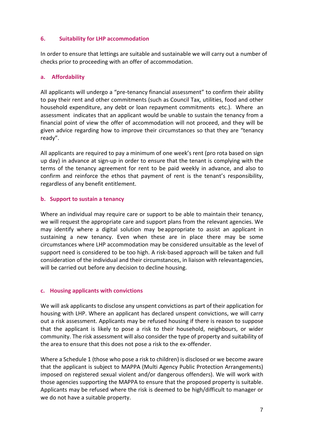#### <span id="page-6-0"></span>**6. Suitability for LHP accommodation**

In order to ensure that lettings are suitable and sustainable we will carry out a number of checks prior to proceeding with an offer of accommodation.

#### **a. Affordability**

All applicants will undergo a "pre-tenancy financial assessment" to confirm their ability to pay their rent and other commitments (such as Council Tax, utilities, food and other household expenditure, any debt or loan repayment commitments etc.). Where an assessment indicates that an applicant would be unable to sustain the tenancy from a financial point of view the offer of accommodation will not proceed, and they will be given advice regarding how to improve their circumstances so that they are "tenancy ready".

All applicants are required to pay a minimum of one week's rent (pro rota based on sign up day) in advance at sign-up in order to ensure that the tenant is complying with the terms of the tenancy agreement for rent to be paid weekly in advance, and also to confirm and reinforce the ethos that payment of rent is the tenant's responsibility, regardless of any benefit entitlement.

#### **b. Support to sustain a tenancy**

Where an individual may require care or support to be able to maintain their tenancy, we will request the appropriate care and support plans from the relevant agencies. We may identify where a digital solution may beappropriate to assist an applicant in sustaining a new tenancy. Even when these are in place there may be some circumstances where LHP accommodation may be considered unsuitable as the level of support need is considered to be too high. A risk-based approach will be taken and full consideration of the individual and their circumstances, in liaison with relevantagencies, will be carried out before any decision to decline housing.

#### **c. Housing applicants with convictions**

We will ask applicants to disclose any unspent convictions as part of their application for housing with LHP. Where an applicant has declared unspent convictions, we will carry out a risk assessment. Applicants may be refused housing if there is reason to suppose that the applicant is likely to pose a risk to their household, neighbours, or wider community. The risk assessment will also consider the type of property and suitability of the area to ensure that this does not pose a risk to the ex-offender.

Where a Schedule 1 (those who pose a risk to children) is disclosed or we become aware that the applicant is subject to MAPPA (Multi Agency Public Protection Arrangements) imposed on registered sexual violent and/or dangerous offenders). We will work with those agencies supporting the MAPPA to ensure that the proposed property is suitable. Applicants may be refused where the risk is deemed to be high/difficult to manager or we do not have a suitable property.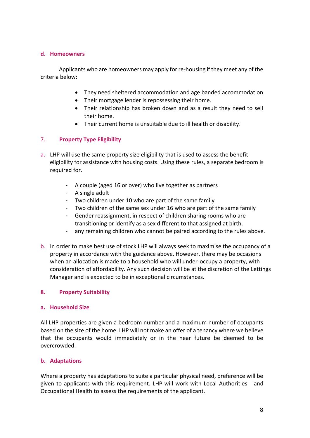#### **d. Homeowners**

 Applicants who are homeowners may apply for re-housing if they meet any of the criteria below:

- They need sheltered accommodation and age banded accommodation
- Their mortgage lender is repossessing their home.
- Their relationship has broken down and as a result they need to sell their home.
- Their current home is unsuitable due to ill health or disability.

## <span id="page-7-0"></span>7. **Property Type Eligibility**

- a. LHP will use the same property size eligibility that is used to assess the benefit eligibility for assistance with housing costs. Using these rules, a separate bedroom is required for.
	- A couple (aged 16 or over) who live together as partners
	- A single adult
	- Two children under 10 who are part of the same family
	- Two children of the same sex under 16 who are part of the same family
	- Gender reassignment, in respect of children sharing rooms who are transitioning or identify as a sex different to that assigned at birth.
	- any remaining children who cannot be paired according to the rules above.
- b. In order to make best use of stock LHP will always seek to maximise the occupancy of a property in accordance with the guidance above. However, there may be occasions when an allocation is made to a household who will under-occupy a property, with consideration of affordability. Any such decision will be at the discretion of the Lettings Manager and is expected to be in exceptional circumstances.

#### <span id="page-7-1"></span>**8. Property Suitability**

#### **a. Household Size**

All LHP properties are given a bedroom number and a maximum number of occupants based on the size of the home. LHP will not make an offer of a tenancy where we believe that the occupants would immediately or in the near future be deemed to be overcrowded.

#### **b. Adaptations**

Where a property has adaptations to suite a particular physical need, preference will be given to applicants with this requirement. LHP will work with Local Authorities and Occupational Health to assess the requirements of the applicant.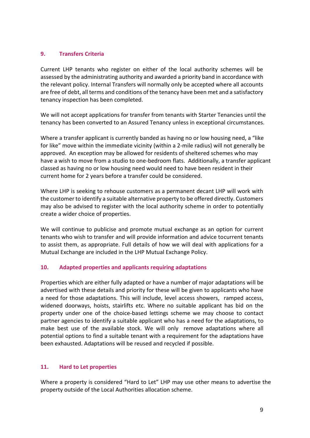## <span id="page-8-0"></span>**9. Transfers Criteria**

Current LHP tenants who register on either of the local authority schemes will be assessed by the administrating authority and awarded a priority band in accordance with the relevant policy. Internal Transfers will normally only be accepted where all accounts are free of debt, all terms and conditions of the tenancy have been met and a satisfactory tenancy inspection has been completed.

We will not accept applications for transfer from tenants with Starter Tenancies until the tenancy has been converted to an Assured Tenancy unless in exceptional circumstances.

Where a transfer applicant is currently banded as having no or low housing need, a "like for like" move within the immediate vicinity (within a 2-mile radius) will not generally be approved. An exception may be allowed for residents of sheltered schemes who may have a wish to move from a studio to one-bedroom flats. Additionally, a transfer applicant classed as having no or low housing need would need to have been resident in their current home for 2 years before a transfer could be considered.

Where LHP is seeking to rehouse customers as a permanent decant LHP will work with the customer to identify a suitable alternative property to be offered directly. Customers may also be advised to register with the local authority scheme in order to potentially create a wider choice of properties.

We will continue to publicise and promote mutual exchange as an option for current tenants who wish to transfer and will provide information and advice tocurrent tenants to assist them, as appropriate. Full details of how we will deal with applications for a Mutual Exchange are included in the LHP Mutual Exchange Policy.

## <span id="page-8-1"></span>**10. Adapted properties and applicants requiring adaptations**

Properties which are either fully adapted or have a number of major adaptations will be advertised with these details and priority for these will be given to applicants who have a need for those adaptations. This will include, level access showers, ramped access, widened doorways, hoists, stairlifts etc. Where no suitable applicant has bid on the property under one of the choice-based lettings scheme we may choose to contact partner agencies to identify a suitable applicant who has a need for the adaptations, to make best use of the available stock. We will only remove adaptations where all potential options to find a suitable tenant with a requirement for the adaptations have been exhausted. Adaptations will be reused and recycled if possible.

# <span id="page-8-2"></span>**11. Hard to Let properties**

Where a property is considered "Hard to Let" LHP may use other means to advertise the property outside of the Local Authorities allocation scheme.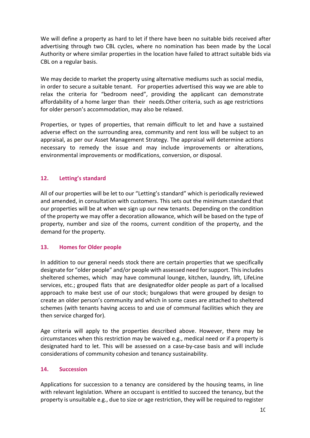We will define a property as hard to let if there have been no suitable bids received after advertising through two CBL cycles, where no nomination has been made by the Local Authority or where similar properties in the location have failed to attract suitable bids via CBL on a regular basis.

We may decide to market the property using alternative mediums such as social media, in order to secure a suitable tenant. For properties advertised this way we are able to relax the criteria for "bedroom need", providing the applicant can demonstrate affordability of a home larger than their needs.Other criteria, such as age restrictions for older person's accommodation, may also be relaxed.

Properties, or types of properties, that remain difficult to let and have a sustained adverse effect on the surrounding area, community and rent loss will be subject to an appraisal, as per our Asset Management Strategy. The appraisal will determine actions necessary to remedy the issue and may include improvements or alterations, environmental improvements or modifications, conversion, or disposal.

## <span id="page-9-0"></span>**12. Letting's standard**

All of our properties will be let to our "Letting's standard" which is periodically reviewed and amended, in consultation with customers. This sets out the minimum standard that our properties will be at when we sign up our new tenants. Depending on the condition of the property we may offer a decoration allowance, which will be based on the type of property, number and size of the rooms, current condition of the property, and the demand for the property.

## <span id="page-9-1"></span>**13. Homes for Older people**

In addition to our general needs stock there are certain properties that we specifically designate for "older people" and/or people with assessed need for support. This includes sheltered schemes, which may have communal lounge, kitchen, laundry, lift, LifeLine services, etc.; grouped flats that are designatedfor older people as part of a localised approach to make best use of our stock; bungalows that were grouped by design to create an older person's community and which in some cases are attached to sheltered schemes (with tenants having access to and use of communal facilities which they are then service charged for).

Age criteria will apply to the properties described above. However, there may be circumstances when this restriction may be waived e.g., medical need or if a property is designated hard to let. This will be assessed on a case-by-case basis and will include considerations of community cohesion and tenancy sustainability.

#### <span id="page-9-2"></span>**14. Succession**

Applications for succession to a tenancy are considered by the housing teams, in line with relevant legislation. Where an occupant is entitled to succeed the tenancy, but the property is unsuitable e.g., due to size or age restriction, they will be required to register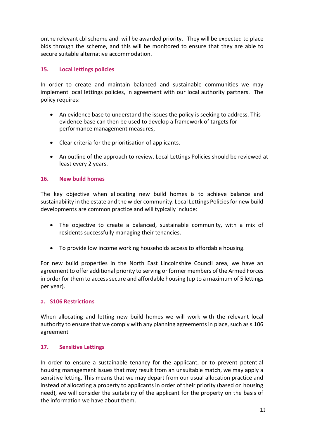onthe relevant cbl scheme and will be awarded priority. They will be expected to place bids through the scheme, and this will be monitored to ensure that they are able to secure suitable alternative accommodation.

# <span id="page-10-0"></span>**15. Local lettings policies**

In order to create and maintain balanced and sustainable communities we may implement local lettings policies, in agreement with our local authority partners. The policy requires:

- An evidence base to understand the issues the policy is seeking to address. This evidence base can then be used to develop a framework of targets for performance management measures,
- Clear criteria for the prioritisation of applicants.
- An outline of the approach to review. Local Lettings Policies should be reviewed at least every 2 years.

## <span id="page-10-1"></span>**16. New build homes**

The key objective when allocating new build homes is to achieve balance and sustainability in the estate and the wider community. Local Lettings Policies for new build developments are common practice and will typically include:

- The objective to create a balanced, sustainable community, with a mix of residents successfully managing their tenancies.
- To provide low income working households access to affordable housing.

For new build properties in the North East Lincolnshire Council area, we have an agreement to offer additional priority to serving or former members of the Armed Forces in order for them to access secure and affordable housing (up to a maximum of 5 lettings per year).

## **a. S106 Restrictions**

When allocating and letting new build homes we will work with the relevant local authority to ensure that we comply with any planning agreements in place, such as s.106 agreement

## <span id="page-10-2"></span>**17. Sensitive Lettings**

In order to ensure a sustainable tenancy for the applicant, or to prevent potential housing management issues that may result from an unsuitable match, we may apply a sensitive letting. This means that we may depart from our usual allocation practice and instead of allocating a property to applicants in order of their priority (based on housing need), we will consider the suitability of the applicant for the property on the basis of the information we have about them.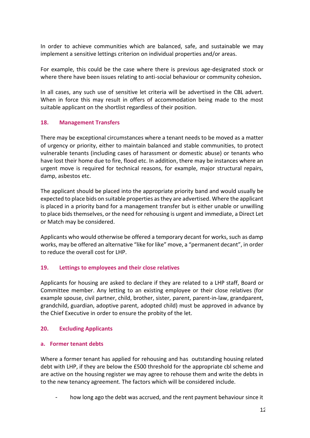In order to achieve communities which are balanced, safe, and sustainable we may implement a sensitive lettings criterion on individual properties and/or areas.

For example, this could be the case where there is previous age-designated stock or where there have been issues relating to anti-social behaviour or community cohesion**.**

In all cases, any such use of sensitive let criteria will be advertised in the CBL advert. When in force this may result in offers of accommodation being made to the most suitable applicant on the shortlist regardless of their position.

## <span id="page-11-0"></span>**18. Management Transfers**

There may be exceptional circumstances where a tenant needs to be moved as a matter of urgency or priority, either to maintain balanced and stable communities, to protect vulnerable tenants (including cases of harassment or domestic abuse) or tenants who have lost their home due to fire, flood etc. In addition, there may be instances where an urgent move is required for technical reasons, for example, major structural repairs, damp, asbestos etc.

The applicant should be placed into the appropriate priority band and would usually be expected to place bids on suitable properties as they are advertised. Where the applicant is placed in a priority band for a management transfer but is either unable or unwilling to place bids themselves, or the need for rehousing is urgent and immediate, a Direct Let or Match may be considered.

Applicants who would otherwise be offered a temporary decant for works, such as damp works, may be offered an alternative "like for like" move, a "permanent decant", in order to reduce the overall cost for LHP.

## <span id="page-11-1"></span>**19. Lettings to employees and their close relatives**

Applicants for housing are asked to declare if they are related to a LHP staff, Board or Committee member. Any letting to an existing employee or their close relatives (for example spouse, civil partner, child, brother, sister, parent, parent-in-law, grandparent, grandchild, guardian, adoptive parent, adopted child) must be approved in advance by the Chief Executive in order to ensure the probity of the let.

## <span id="page-11-2"></span>**20. Excluding Applicants**

#### **a. Former tenant debts**

Where a former tenant has applied for rehousing and has outstanding housing related debt with LHP, if they are below the £500 threshold for the appropriate cbl scheme and are active on the housing register we may agree to rehouse them and write the debts in to the new tenancy agreement. The factors which will be considered include.

how long ago the debt was accrued, and the rent payment behaviour since it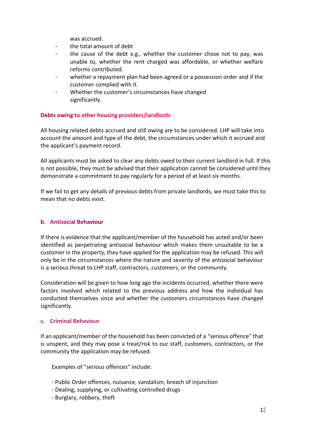was accrued.

- the total amount of debt
- the cause of the debt e.g., whether the customer chose not to pay, was unable to, whether the rent charged was affordable, or whether welfare reforms contributed.
- whether a repayment plan had been agreed or a possession order and if the customer complied with it.
- Whether the customer's circumstances have changed significantly.

## Debts owing to other housing providers/landlords

All housing related debts accrued and still owing are to be considered. LHP will take into account the amount and type of the debt, the circumstances under which it accrued and the applicant's payment record.

All applicants must be asked to clear any debts owed to their current landlord in full. If this is not possible, they must be advised that their application cannot be considered until they demonstrate a commitment to pay regularly for a period of at least six months.

If we fail to get any details of previous debts from private landlords, we must take this to mean that no debts exist.

#### **b.** Antisocial Behaviour

If there is evidence that the applicant/member of the household has acted and/or been identified as perpetrating antisocial behaviour which makes them unsuitable to be a customer in the property, they have applied for the application may be refused. This will only be in the circumstances where the nature and severity of the antisocial behaviour is a serious threat to LHP staff, contractors, customers, or the community.

Consideration will be given to how long ago the incidents occurred, whether there were factors involved which related to the previous address and how the individual has conducted themselves since and whether the customers circumstances have changed significantly.

#### **c. Criminal Behaviour**

If an applicant/member of the household has been convicted of a "serious offence" that is unspent, and they may pose a treat/risk to our staff, customers, contractors, or the community the application may be refused.

Examples of "serious offences" include:

- Public Order offences, nuisance, vandalism, breach of injunction
- Dealing, supplying, or cultivating controlled drugs
- Burglary, robbery, theft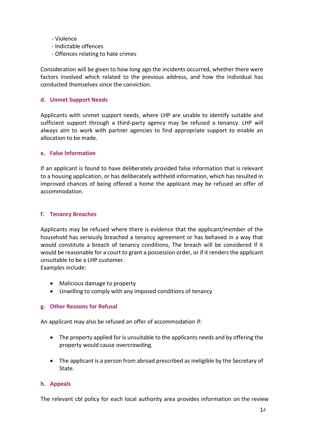- Violence
- Indictable offences
- Offences relating to hate crimes

Consideration will be given to how long ago the incidents occurred, whether there were factors involved which related to the previous address, and how the individual has conducted themselves since the conviction.

#### **d. Unmet Support Needs**

Applicants with unmet support needs, where LHP are unable to identify suitable and sufficient support through a third-party agency may be refused a tenancy. LHP will always aim to work with partner agencies to find appropriate support to enable an allocation to be made.

#### **e. False Information**

If an applicant is found to have deliberately provided false information that is relevant to a housing application, or has deliberately withheld information, which has resulted in improved chances of being offered a home the applicant may be refused an offer of accommodation.

#### **f. Tenancy Breaches**

Applicants may be refused where there is evidence that the applicant/member of the household has seriously breached a tenancy agreement or has behaved in a way that would constitute a breach of tenancy conditions, The breach will be considered if it would be reasonable for a court to grant a possession order, or if it renders the applicant unsuitable to be a LHP customer.

Examples include:

- Malicious damage to property
- Unwilling to comply with any imposed conditions of tenancy

## **g. Other Reasons for Refusal**

An applicant may also be refused an offer of accommodation if:

- The property applied for is unsuitable to the applicants needs and by offering the property would cause overcrowding.
- The applicant is a person from abroad prescribed as ineligible by the Secretary of State.

## **h. Appeals**

The relevant cbl policy for each local authority area provides information on the review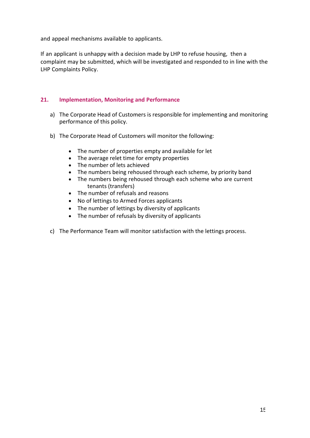and appeal mechanisms available to applicants.

If an applicant is unhappy with a decision made by LHP to refuse housing, then a complaint may be submitted, which will be investigated and responded to in line with the LHP Complaints Policy.

## <span id="page-14-0"></span>**21. Implementation, Monitoring and Performance**

- a) The Corporate Head of Customers is responsible for implementing and monitoring performance of this policy.
- b) The Corporate Head of Customers will monitor the following:
	- The number of properties empty and available for let
	- The average relet time for empty properties
	- The number of lets achieved
	- The numbers being rehoused through each scheme, by priority band
	- The numbers being rehoused through each scheme who are current tenants (transfers)
	- The number of refusals and reasons
	- No of lettings to Armed Forces applicants
	- The number of lettings by diversity of applicants
	- The number of refusals by diversity of applicants
- c) The Performance Team will monitor satisfaction with the lettings process.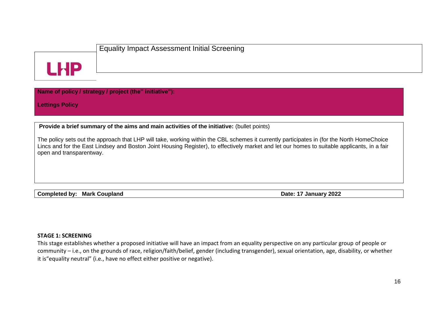

**Name of policy / strategy / project (the" initiative"):**

**Lettings Policy**

**Provide a brief summary of the aims and main activities of the initiative:** (bullet points)

The policy sets out the approach that LHP will take, working within the CBL schemes it currently participates in (for the North HomeChoice Lincs and for the East Lindsey and Boston Joint Housing Register), to effectively market and let our homes to suitable applicants, in a fair open and transparentway.

**Completed by: Mark Coupland Date: 17** January 2022

#### **STAGE 1: SCREENING**

<span id="page-15-0"></span>This stage establishes whether a proposed initiative will have an impact from an equality perspective on any particular group of people or community – i.e., on the grounds of race, religion/faith/belief, gender (including transgender), sexual orientation, age, disability, or whether it is"equality neutral" (i.e., have no effect either positive or negative).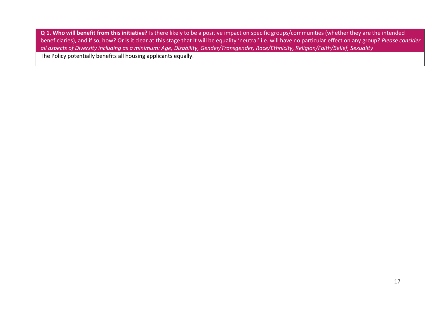**Q 1. Who will benefit from this initiative?** Is there likely to be a positive impact on specific groups/communities (whether they are the intended beneficiaries), and if so, how? Or is it clear at this stage that it will be equality 'neutral' i.e. will have no particular effect on any group? *Please consider* all aspects of Diversity including as a minimum: Age, Disability, Gender/Transgender, Race/Ethnicity, Religion/Faith/Belief, Sexuality

The Policy potentially benefits all housing applicants equally.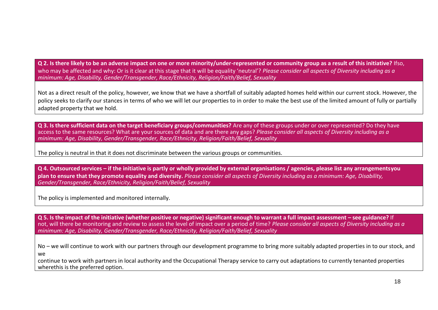**Q 2. Is there likely to be an adverse impact on one or more minority/under-represented or community group as a result of this initiative?** Ifso, who may be affected and why: Or is it clear at this stage that it will be equality 'neutral'? *Please consider all aspects of Diversity including as a minimum: Age, Disability, Gender/Transgender, Race/Ethnicity, Religion/Faith/Belief, Sexuality*

Not as a direct result of the policy, however, we know that we have a shortfall of suitably adapted homes held within our current stock. However, the policy seeks to clarify our stances in terms of who we will let our properties to in order to make the best use of the limited amount of fully or partially adapted property that we hold.

**Q 3. Is there sufficient data on the target beneficiary groups/communities?** Are any of these groups under or over represented? Do they have access to the same resources? What are your sources of data and are there any gaps? *Please consider all aspects of Diversity including as a minimum: Age, Disability, Gender/Transgender, Race/Ethnicity, Religion/Faith/Belief, Sexuality*

The policy is neutral in that it does not discriminate between the various groups or communities.

**Q 4. Outsourced services – if the initiative is partly or wholly provided by external organisations / agencies, please list any arrangementsyou** plan to ensure that they promote equality and diversity. Please consider all aspects of Diversity including as a minimum: Age, Disability, *Gender/Transgender, Race/Ethnicity, Religion/Faith/Belief, Sexuality*

The policy is implemented and monitored internally.

Q 5. Is the impact of the initiative (whether positive or negative) significant enough to warrant a full impact assessment – see guidance? If not, will there be monitoring and review to assess the level of impact over a period of time? *Please consider all aspects of Diversity including as a minimum: Age, Disability, Gender/Transgender, Race/Ethnicity, Religion/Faith/Belief, Sexuality*

No – we will continue to work with our partners through our development programme to bring more suitably adapted properties in to our stock, and we

continue to work with partners in local authority and the Occupational Therapy service to carry out adaptations to currently tenanted properties wherethis is the preferred option.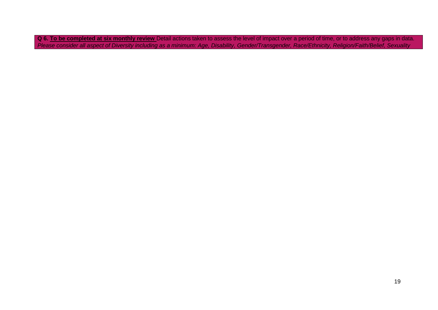**Q 6. To be completed at six monthly review** Detail actions taken to assess the level of impact over a period of time, or to address any gaps in data. Please consider all aspect of Diversity including as a minimum: Age, Disability, Gender/Transgender, Race/Ethnicity, Religion/Faith/Belief, Sexuality